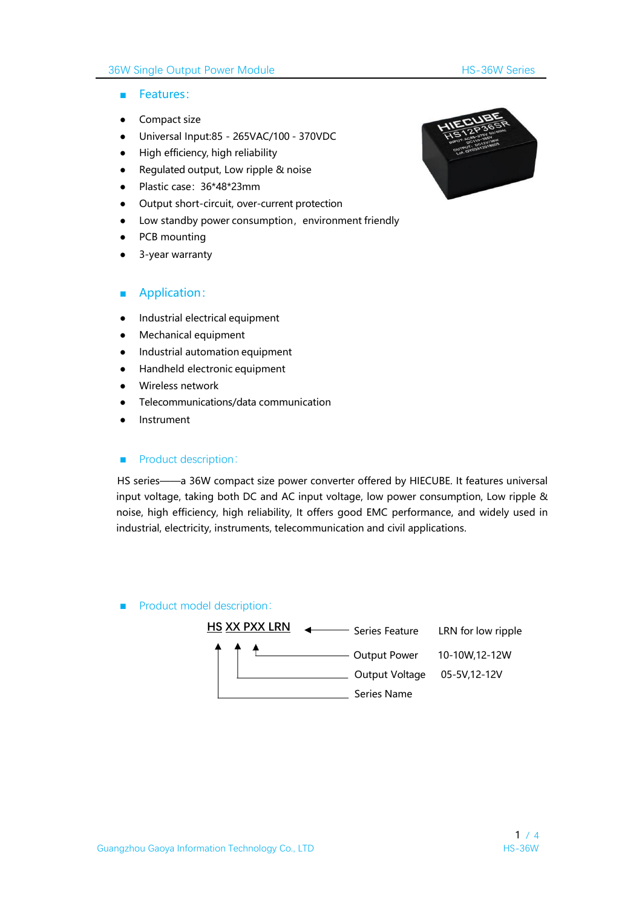### 36W Single Output Power Module **HS-36W Series**

- Features:
- Compact size
- Universal Input:85 265VAC/100 370VDC
- High efficiency, high reliability
- Regulated output, Low ripple & noise
- Plastic case:36\*48\*23mm
- Output short-circuit, over-current protection
- Low standby power consumption, environment friendly
- PCB mounting
- 3-year warranty

#### ■ Application:

- Industrial electrical equipment
- Mechanical equipment
- Industrial automation equipment
- Handheld electronic equipment
- Wireless network
- Telecommunications/data communication
- **Instrument**

#### ■ Product description:

HS series——a 36W compact size power converter offered by HIECUBE. It features universal input voltage, taking both DC and AC input voltage, low power consumption, Low ripple & noise, high efficiency, high reliability, It offers good EMC performance, and widely used in industrial, electricity, instruments, telecommunication and civil applications.

#### ■ Product model description:



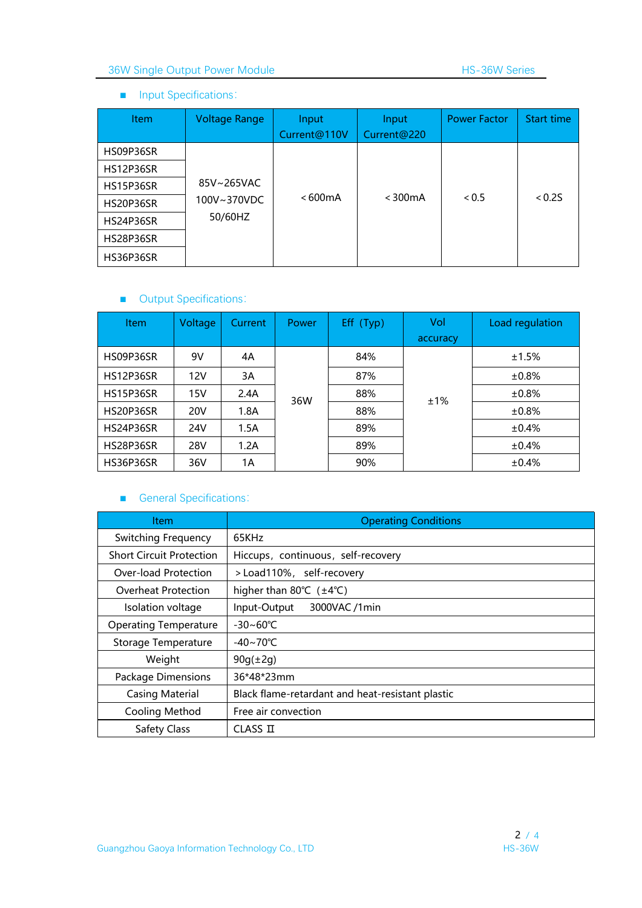## ■ Input Specifications:

| <b>Item</b>      | <b>Voltage Range</b> | Input<br>Current@110V | Input<br>Current@220 | <b>Power Factor</b> | Start time |
|------------------|----------------------|-----------------------|----------------------|---------------------|------------|
| HS09P36SR        |                      |                       |                      |                     |            |
| <b>HS12P36SR</b> |                      |                       |                      |                     |            |
| <b>HS15P36SR</b> | 85V~265VAC           |                       |                      |                     |            |
| HS20P36SR        | 100V~370VDC          | <600mA                | $<$ 300 $mA$         | < 0.5               | < 0.25     |
| HS24P36SR        | 50/60HZ              |                       |                      |                     |            |
| HS28P36SR        |                      |                       |                      |                     |            |
| HS36P36SR        |                      |                       |                      |                     |            |

# ■ Output Specifications:

| <b>Item</b>      | Voltage    | Current | <b>Power</b> | Eff (Typ) | Vol      | Load regulation |
|------------------|------------|---------|--------------|-----------|----------|-----------------|
|                  |            |         |              |           | accuracy |                 |
| HS09P36SR        | 9V         | 4A      |              | 84%       |          | ±1.5%           |
| <b>HS12P36SR</b> | 12V        | 3A      |              | 87%       |          | ±0.8%           |
| <b>HS15P36SR</b> | 15V        | 2.4A    | 36W          | 88%       | ±1%      | ±0.8%           |
| HS20P36SR        | <b>20V</b> | 1.8A    |              | 88%       |          | ±0.8%           |
| <b>HS24P36SR</b> | 24V        | 1.5A    |              | 89%       |          | ±0.4%           |
| <b>HS28P36SR</b> | 28V        | 1.2A    |              | 89%       |          | ±0.4%           |
| HS36P36SR        | 36V        | 1A      |              | 90%       |          | $\pm 0.4\%$     |

# ■ General Specifications:

| Item.                           | <b>Operating Conditions</b>                       |  |  |  |  |
|---------------------------------|---------------------------------------------------|--|--|--|--|
| Switching Frequency             | 65KHz                                             |  |  |  |  |
| <b>Short Circuit Protection</b> | Hiccups, continuous, self-recovery                |  |  |  |  |
| Over-load Protection            | >Load110%, self-recovery                          |  |  |  |  |
| Overheat Protection             | higher than 80 $\degree$ C ( $\pm$ 4 $\degree$ C) |  |  |  |  |
| Isolation voltage               | 3000VAC /1min<br>Input-Output                     |  |  |  |  |
| <b>Operating Temperature</b>    | $-30 - 60^{\circ}C$                               |  |  |  |  |
| Storage Temperature             | $-40 \sim 70^{\circ}$ C                           |  |  |  |  |
| Weight                          | $90g(\pm 2g)$                                     |  |  |  |  |
| Package Dimensions              | 36*48*23mm                                        |  |  |  |  |
| <b>Casing Material</b>          | Black flame-retardant and heat-resistant plastic  |  |  |  |  |
| Cooling Method                  | Free air convection                               |  |  |  |  |
| Safety Class                    | CLASS II                                          |  |  |  |  |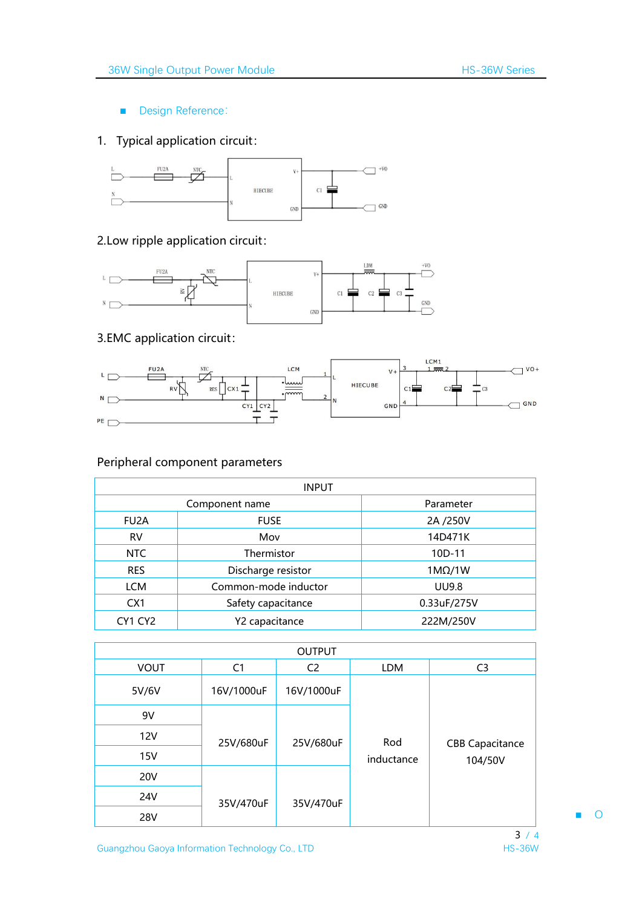■ Design Reference:

# 1. Typical application circuit:



## 2.Low ripple application circuit:



# 3.EMC application circuit:



## Peripheral component parameters

| <b>INPUT</b>    |                      |               |  |  |  |
|-----------------|----------------------|---------------|--|--|--|
| Component name  |                      | Parameter     |  |  |  |
| FU2A            | <b>FUSE</b>          | 2A /250V      |  |  |  |
| <b>RV</b>       | Mov                  | 14D471K       |  |  |  |
| NTC             | Thermistor           | $10D-11$      |  |  |  |
| <b>RES</b>      | Discharge resistor   | $1M\Omega/1W$ |  |  |  |
| LCM             | Common-mode inductor | <b>UU9.8</b>  |  |  |  |
| CX <sub>1</sub> | Safety capacitance   | 0.33uF/275V   |  |  |  |
| CY1 CY2         | Y2 capacitance       | 222M/250V     |  |  |  |

| <b>OUTPUT</b> |                |                |            |                        |  |
|---------------|----------------|----------------|------------|------------------------|--|
| <b>VOUT</b>   | C <sub>1</sub> | C <sub>2</sub> | LDM        | C <sub>3</sub>         |  |
| 5V/6V         | 16V/1000uF     | 16V/1000uF     |            |                        |  |
| 9V            |                |                |            |                        |  |
| 12V           | 25V/680uF      | 25V/680uF      | Rod        | <b>CBB Capacitance</b> |  |
| 15V           |                |                | inductance | 104/50V                |  |
| <b>20V</b>    |                |                |            |                        |  |
| 24V           | 35V/470uF      | 35V/470uF      |            |                        |  |
| <b>28V</b>    |                |                |            |                        |  |